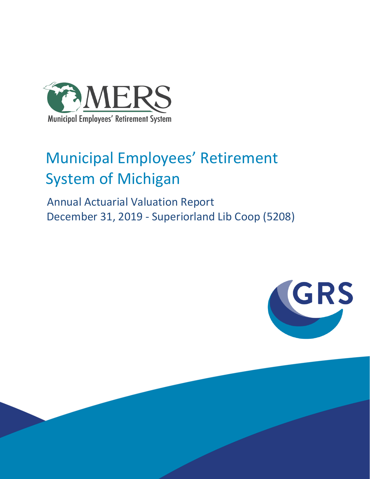

# Municipal Employees' Retirement System of Michigan

 Annual Actuarial Valuation Report December 31, 2019 - Superiorland Lib Coop (5208)

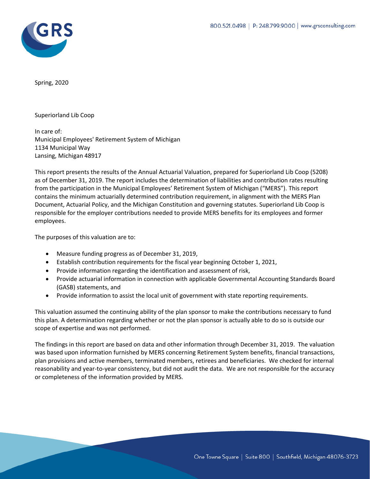

Spring, 2020

Superiorland Lib Coop

In care of: Municipal Employees' Retirement System of Michigan 1134 Municipal Way Lansing, Michigan 48917

This report presents the results of the Annual Actuarial Valuation, prepared for Superiorland Lib Coop (5208) as of December 31, 2019. The report includes the determination of liabilities and contribution rates resulting from the participation in the Municipal Employees' Retirement System of Michigan ("MERS"). This report contains the minimum actuarially determined contribution requirement, in alignment with the MERS Plan Document, Actuarial Policy, and the Michigan Constitution and governing statutes. Superiorland Lib Coop is responsible for the employer contributions needed to provide MERS benefits for its employees and former employees.

The purposes of this valuation are to:

- Measure funding progress as of December 31, 2019,
- Establish contribution requirements for the fiscal year beginning October 1, 2021,
- Provide information regarding the identification and assessment of risk,
- Provide actuarial information in connection with applicable Governmental Accounting Standards Board (GASB) statements, and
- Provide information to assist the local unit of government with state reporting requirements.

This valuation assumed the continuing ability of the plan sponsor to make the contributions necessary to fund this plan. A determination regarding whether or not the plan sponsor is actually able to do so is outside our scope of expertise and was not performed.

The findings in this report are based on data and other information through December 31, 2019. The valuation was based upon information furnished by MERS concerning Retirement System benefits, financial transactions, plan provisions and active members, terminated members, retirees and beneficiaries. We checked for internal reasonability and year-to-year consistency, but did not audit the data. We are not responsible for the accuracy or completeness of the information provided by MERS.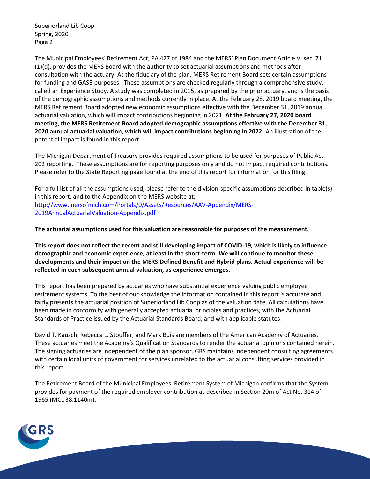Superiorland Lib Coop Spring, 2020 Page 2

The Municipal Employees' Retirement Act, PA 427 of 1984 and the MERS' Plan Document Article VI sec. 71 (1)(d), provides the MERS Board with the authority to set actuarial assumptions and methods after consultation with the actuary. As the fiduciary of the plan, MERS Retirement Board sets certain assumptions for funding and GASB purposes. These assumptions are checked regularly through a comprehensive study, called an Experience Study. A study was completed in 2015, as prepared by the prior actuary, and is the basis of the demographic assumptions and methods currently in place. At the February 28, 2019 board meeting, the MERS Retirement Board adopted new economic assumptions effective with the December 31, 2019 annual actuarial valuation, which will impact contributions beginning in 2021. **At the February 27, 2020 board meeting, the MERS Retirement Board adopted demographic assumptions effective with the December 31, 2020 annual actuarial valuation, which will impact contributions beginning in 2022.** An illustration of the potential impact is found in this report.

The Michigan Department of Treasury provides required assumptions to be used for purposes of Public Act 202 reporting. These assumptions are for reporting purposes only and do not impact required contributions. Please refer to the State Reporting page found at the end of this report for information for this filing.

For a full list of all the assumptions used, please refer to the division-specific assumptions described in table(s) in this report, and to the Appendix on the MERS website at: [http://www.mersofmich.com/Portals/0/Assets/Resources/AAV-Appendix/MERS-](http://www.mersofmich.com/Portals/0/Assets/Resources/AAV-Appendix/MERS-2019AnnualActuarialValuation-Appendix.pdf)[2019AnnualActuarialValuation-Appendix.pdf](http://www.mersofmich.com/Portals/0/Assets/Resources/AAV-Appendix/MERS-2019AnnualActuarialValuation-Appendix.pdf)

**The actuarial assumptions used for this valuation are reasonable for purposes of the measurement.**

**This report does not reflect the recent and still developing impact of COVID-19, which is likely to influence demographic and economic experience, at least in the short-term. We will continue to monitor these developments and their impact on the MERS Defined Benefit and Hybrid plans. Actual experience will be reflected in each subsequent annual valuation, as experience emerges.**

This report has been prepared by actuaries who have substantial experience valuing public employee retirement systems. To the best of our knowledge the information contained in this report is accurate and fairly presents the actuarial position of Superiorland Lib Coop as of the valuation date. All calculations have been made in conformity with generally accepted actuarial principles and practices, with the Actuarial Standards of Practice issued by the Actuarial Standards Board, and with applicable statutes.

David T. Kausch, Rebecca L. Stouffer, and Mark Buis are members of the American Academy of Actuaries. These actuaries meet the Academy's Qualification Standards to render the actuarial opinions contained herein. The signing actuaries are independent of the plan sponsor. GRS maintains independent consulting agreements with certain local units of government for services unrelated to the actuarial consulting services provided in this report.

The Retirement Board of the Municipal Employees' Retirement System of Michigan confirms that the System provides for payment of the required employer contribution as described in Section 20m of Act No. 314 of 1965 (MCL 38.1140m).

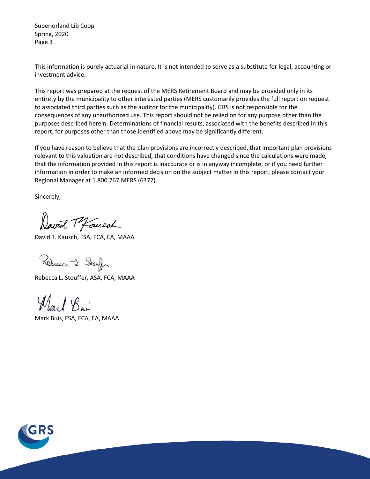Superiorland Lib Coop Spring, 2020 Page 3

This information is purely actuarial in nature. It is not intended to serve as a substitute for legal, accounting or investment advice.

This report was prepared at the request of the MERS Retirement Board and may be provided only in its entirety by the municipality to other interested parties (MERS customarily provides the full report on request to associated third parties such as the auditor for the municipality). GRS is not responsible for the consequences of any unauthorized use. This report should not be relied on for any purpose other than the purposes described herein. Determinations of financial results, associated with the benefits described in this report, for purposes other than those identified above may be significantly different.

If you have reason to believe that the plan provisions are incorrectly described, that important plan provisions relevant to this valuation are not described, that conditions have changed since the calculations were made, that the information provided in this report is inaccurate or is in anyway incomplete, or if you need further information in order to make an informed decision on the subject matter in this report, please contact your Regional Manager at 1.800.767.MERS (6377).

Sincerely,

David Tofausch

David T. Kausch, FSA, FCA, EA, MAAA

Rebecca J. Stouff

Rebecca L. Stouffer, ASA, FCA, MAAA

Ward Bin

Mark Buis, FSA, FCA, EA, MAAA

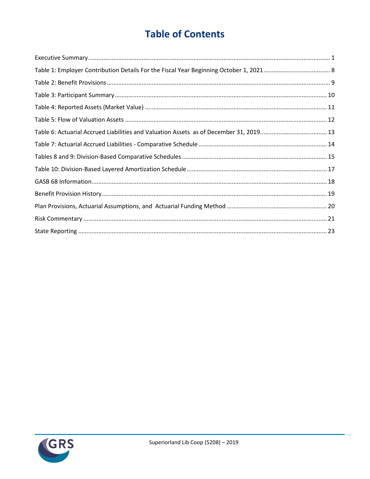## **Table of Contents**

| Table 6: Actuarial Accrued Liabilities and Valuation Assets as of December 31, 2019 13 |  |
|----------------------------------------------------------------------------------------|--|
|                                                                                        |  |
|                                                                                        |  |
|                                                                                        |  |
|                                                                                        |  |
|                                                                                        |  |
|                                                                                        |  |
|                                                                                        |  |
|                                                                                        |  |

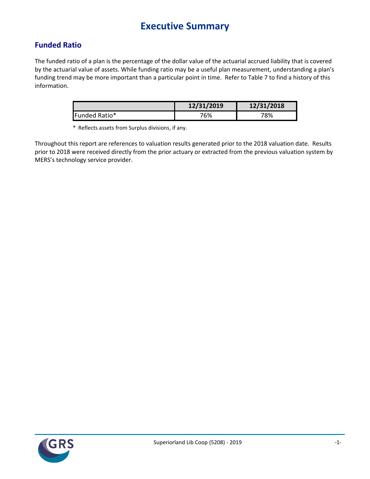## **Executive Summary**

### <span id="page-5-0"></span>**Funded Ratio**

The funded ratio of a plan is the percentage of the dollar value of the actuarial accrued liability that is covered by the actuarial value of assets. While funding ratio may be a useful plan measurement, understanding a plan's funding trend may be more important than a particular point in time. Refer to Table 7 to find a history of this information.

|               | 12/31/2019 | 12/31/2018 |
|---------------|------------|------------|
| Funded Ratio* | 76%        | 78%        |

\* Reflects assets from Surplus divisions, if any.

Throughout this report are references to valuation results generated prior to the 2018 valuation date. Results prior to 2018 were received directly from the prior actuary or extracted from the previous valuation system by MERS's technology service provider.

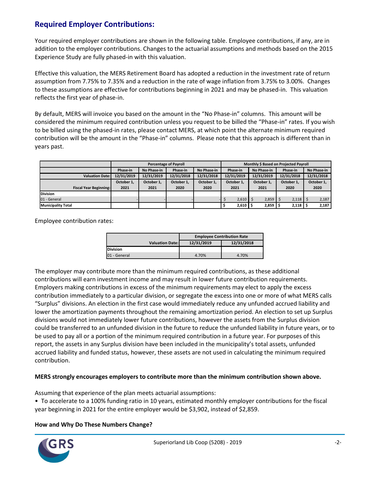### **Required Employer Contributions:**

Your required employer contributions are shown in the following table. Employee contributions, if any, are in addition to the employer contributions. Changes to the actuarial assumptions and methods based on the 2015 Experience Study are fully phased-in with this valuation.

Effective this valuation, the MERS Retirement Board has adopted a reduction in the investment rate of return assumption from 7.75% to 7.35% and a reduction in the rate of wage inflation from 3.75% to 3.00%. Changes to these assumptions are effective for contributions beginning in 2021 and may be phased-in. This valuation reflects the first year of phase-in.

By default, MERS will invoice you based on the amount in the "No Phase-in" columns. This amount will be considered the minimum required contribution unless you request to be billed the "Phase-in" rates. If you wish to be billed using the phased-in rates, please contact MERS, at which point the alternate minimum required contribution will be the amount in the "Phase-in" columns. Please note that this approach is different than in years past.

|                               |            |                                        | <b>Percentage of Payroll</b> |            | Monthly \$ Based on Projected Payroll |                          |      |                       |              |                          |       |  |      |
|-------------------------------|------------|----------------------------------------|------------------------------|------------|---------------------------------------|--------------------------|------|-----------------------|--------------|--------------------------|-------|--|------|
|                               | Phase-in   | Phase-in<br>No Phase-in<br>No Phase-in |                              |            |                                       | Phase-in<br>No Phase-in  |      |                       | Phase-in     | No Phase-in              |       |  |      |
| <b>Valuation Date:</b>        | 12/31/2019 | 12/31/2019                             | 12/31/2018                   | 12/31/2018 |                                       | 12/31/2019               |      | 12/31/2019            |              | 12/31/2018<br>12/31/2018 |       |  |      |
|                               | October 1. | October 1.                             | October 1.                   | October 1. |                                       | October 1.<br>October 1. |      | October 1.            |              | October 1,               |       |  |      |
| <b>Fiscal Year Beginning:</b> | 2021       | 2021                                   | 2020                         | 2020       |                                       | 2021                     | 2021 |                       |              |                          | 2020  |  | 2020 |
| <b>Division</b>               |            |                                        |                              |            |                                       |                          |      |                       |              |                          |       |  |      |
| 01 - General                  |            |                                        |                              |            |                                       | $2,610$   \$             |      | $2,859$ $\mid$ \$     | $2,118$ \$   |                          | 2,187 |  |      |
| <b>Municipality Total</b>     |            |                                        |                              |            |                                       | 2,610                    |      | $2,859$ $\frac{1}{2}$ | $2,118$   \$ |                          | 2,187 |  |      |

Employee contribution rates:

|                        | <b>Employee Contribution Rate</b> |            |  |  |  |  |  |  |
|------------------------|-----------------------------------|------------|--|--|--|--|--|--|
| <b>Valuation Date:</b> | 12/31/2019                        | 12/31/2018 |  |  |  |  |  |  |
| <b>Division</b>        |                                   |            |  |  |  |  |  |  |
| 01 - General           | 4.70%                             | 4.70%      |  |  |  |  |  |  |

The employer may contribute more than the minimum required contributions, as these additional contributions will earn investment income and may result in lower future contribution requirements. Employers making contributions in excess of the minimum requirements may elect to apply the excess contribution immediately to a particular division, or segregate the excess into one or more of what MERS calls "Surplus" divisions. An election in the first case would immediately reduce any unfunded accrued liability and lower the amortization payments throughout the remaining amortization period. An election to set up Surplus divisions would not immediately lower future contributions, however the assets from the Surplus division could be transferred to an unfunded division in the future to reduce the unfunded liability in future years, or to be used to pay all or a portion of the minimum required contribution in a future year. For purposes of this report, the assets in any Surplus division have been included in the municipality's total assets, unfunded accrued liability and funded status, however, these assets are not used in calculating the minimum required contribution.

#### **MERS strongly encourages employers to contribute more than the minimum contribution shown above.**

Assuming that experience of the plan meets actuarial assumptions:

• To accelerate to a 100% funding ratio in 10 years, estimated monthly employer contributions for the fiscal year beginning in 2021 for the entire employer would be \$3,902, instead of \$2,859.

#### **How and Why Do These Numbers Change?**

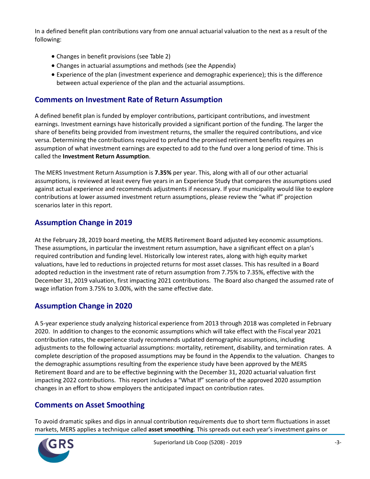In a defined benefit plan contributions vary from one annual actuarial valuation to the next as a result of the following:

- Changes in benefit provisions (see Table 2)
- Changes in actuarial assumptions and methods (see the Appendix)
- Experience of the plan (investment experience and demographic experience); this is the difference between actual experience of the plan and the actuarial assumptions.

### **Comments on Investment Rate of Return Assumption**

A defined benefit plan is funded by employer contributions, participant contributions, and investment earnings. Investment earnings have historically provided a significant portion of the funding. The larger the share of benefits being provided from investment returns, the smaller the required contributions, and vice versa. Determining the contributions required to prefund the promised retirement benefits requires an assumption of what investment earnings are expected to add to the fund over a long period of time. This is called the **Investment Return Assumption**.

The MERS Investment Return Assumption is **7.35%** per year. This, along with all of our other actuarial assumptions, is reviewed at least every five years in an Experience Study that compares the assumptions used against actual experience and recommends adjustments if necessary. If your municipality would like to explore contributions at lower assumed investment return assumptions, please review the "what if" projection scenarios later in this report.

### **Assumption Change in 2019**

At the February 28, 2019 board meeting, the MERS Retirement Board adjusted key economic assumptions. These assumptions, in particular the investment return assumption, have a significant effect on a plan's required contribution and funding level. Historically low interest rates, along with high equity market valuations, have led to reductions in projected returns for most asset classes. This has resulted in a Board adopted reduction in the investment rate of return assumption from 7.75% to 7.35%, effective with the December 31, 2019 valuation, first impacting 2021 contributions. The Board also changed the assumed rate of wage inflation from 3.75% to 3.00%, with the same effective date.

### **Assumption Change in 2020**

A 5-year experience study analyzing historical experience from 2013 through 2018 was completed in February 2020. In addition to changes to the economic assumptions which will take effect with the Fiscal year 2021 contribution rates, the experience study recommends updated demographic assumptions, including adjustments to the following actuarial assumptions: mortality, retirement, disability, and termination rates. A complete description of the proposed assumptions may be found in the Appendix to the valuation. Changes to the demographic assumptions resulting from the experience study have been approved by the MERS Retirement Board and are to be effective beginning with the December 31, 2020 actuarial valuation first impacting 2022 contributions. This report includes a "What If" scenario of the approved 2020 assumption changes in an effort to show employers the anticipated impact on contribution rates.

### **Comments on Asset Smoothing**

To avoid dramatic spikes and dips in annual contribution requirements due to short term fluctuations in asset markets, MERS applies a technique called **asset smoothing**. This spreads out each year's investment gains or

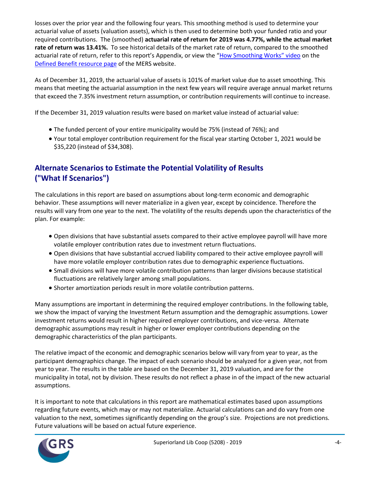losses over the prior year and the following four years. This smoothing method is used to determine your actuarial value of assets (valuation assets), which is then used to determine both your funded ratio and your required contributions. The (smoothed) **actuarial rate of return for 2019 was 4.77%, while the actual market rate of return was 13.41%.** To see historical details of the market rate of return, compared to the smoothed actuarial rate of return, refer to this report's Appendix, or view the ["How Smoothing Works" video](https://vimeo.com/mersofmich/review/290989403/5707240419) on the [Defined Benefit resource page](http://www.mersofmich.com/Employer/Programs/Defined-Benefit-Plan) of the MERS website.

As of December 31, 2019, the actuarial value of assets is 101% of market value due to asset smoothing. This means that meeting the actuarial assumption in the next few years will require average annual market returns that exceed the 7.35% investment return assumption, or contribution requirements will continue to increase.

If the December 31, 2019 valuation results were based on market value instead of actuarial value:

- The funded percent of your entire municipality would be 75% (instead of 76%); and
- Your total employer contribution requirement for the fiscal year starting October 1, 2021 would be \$35,220 (instead of \$34,308).

### **Alternate Scenarios to Estimate the Potential Volatility of Results ("What If Scenarios")**

The calculations in this report are based on assumptions about long-term economic and demographic behavior. These assumptions will never materialize in a given year, except by coincidence. Therefore the results will vary from one year to the next. The volatility of the results depends upon the characteristics of the plan. For example:

- Open divisions that have substantial assets compared to their active employee payroll will have more volatile employer contribution rates due to investment return fluctuations.
- Open divisions that have substantial accrued liability compared to their active employee payroll will have more volatile employer contribution rates due to demographic experience fluctuations.
- Small divisions will have more volatile contribution patterns than larger divisions because statistical fluctuations are relatively larger among small populations.
- Shorter amortization periods result in more volatile contribution patterns.

Many assumptions are important in determining the required employer contributions. In the following table, we show the impact of varying the Investment Return assumption and the demographic assumptions. Lower investment returns would result in higher required employer contributions, and vice-versa. Alternate demographic assumptions may result in higher or lower employer contributions depending on the demographic characteristics of the plan participants.

The relative impact of the economic and demographic scenarios below will vary from year to year, as the participant demographics change. The impact of each scenario should be analyzed for a given year, not from year to year. The results in the table are based on the December 31, 2019 valuation, and are for the municipality in total, not by division. These results do not reflect a phase in of the impact of the new actuarial assumptions.

It is important to note that calculations in this report are mathematical estimates based upon assumptions regarding future events, which may or may not materialize. Actuarial calculations can and do vary from one valuation to the next, sometimes significantly depending on the group's size. Projections are not predictions. Future valuations will be based on actual future experience.

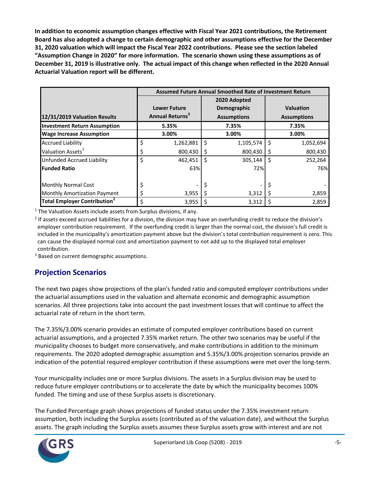**In addition to economic assumption changes effective with Fiscal Year 2021 contributions, the Retirement Board has also adopted a change to certain demographic and other assumptions effective for the December 31, 2020 valuation which will impact the Fiscal Year 2022 contributions. Please see the section labeled "Assumption Change in 2020" for more information. The scenario shown using these assumptions as of December 31, 2019 is illustrative only. The actual impact of this change when reflected in the 2020 Annual Actuarial Valuation report will be different.**

|                                          |    |                             |              | Assumed Future Annual Smoothed Rate of Investment Return |   |                    |
|------------------------------------------|----|-----------------------------|--------------|----------------------------------------------------------|---|--------------------|
|                                          |    |                             |              | 2020 Adopted                                             |   |                    |
|                                          |    | <b>Lower Future</b>         |              | Demographic                                              |   | <b>Valuation</b>   |
| 12/31/2019 Valuation Results             |    | Annual Returns <sup>3</sup> |              | <b>Assumptions</b>                                       |   | <b>Assumptions</b> |
| <b>Investment Return Assumption</b>      |    | 5.35%                       |              | 7.35%                                                    |   | 7.35%              |
| <b>Wage Increase Assumption</b>          |    | 3.00%                       |              | 3.00%                                                    |   | 3.00%              |
| <b>Accrued Liability</b>                 | \$ | 1,262,881                   | Ŝ            | 1,105,574                                                | Ś | 1,052,694          |
| Valuation Assets <sup>1</sup>            | Ş  | 800,430                     |              | 800,430                                                  | S | 800,430            |
| <b>Unfunded Accrued Liability</b>        | \$ | 462,451                     | <sup>5</sup> | 305,144                                                  | Ś | 252,264            |
| <b>Funded Ratio</b>                      |    | 63%                         |              | 72%                                                      |   | 76%                |
| <b>Monthly Normal Cost</b>               |    |                             |              |                                                          |   |                    |
| <b>Monthly Amortization Payment</b>      |    | 3,955                       |              | 3,312                                                    | S | 2,859              |
| Total Employer Contribution <sup>2</sup> | Ś  | 3,955                       |              | 3,312                                                    | S | 2,859              |

 $1$  The Valuation Assets include assets from Surplus divisions, if any.

<sup>2</sup> If assets exceed accrued liabilities for a division, the division may have an overfunding credit to reduce the division's employer contribution requirement. If the overfunding credit is larger than the normal cost, the division's full credit is included in the municipality's amortization payment above but the division's total contribution requirement is zero. This can cause the displayed normal cost and amortization payment to not add up to the displayed total employer contribution.

<sup>3</sup> Based on current demographic assumptions.

### **Projection Scenarios**

The next two pages show projections of the plan's funded ratio and computed employer contributions under the actuarial assumptions used in the valuation and alternate economic and demographic assumption scenarios. All three projections take into account the past investment losses that will continue to affect the actuarial rate of return in the short term.

The 7.35%/3.00% scenario provides an estimate of computed employer contributions based on current actuarial assumptions, and a projected 7.35% market return. The other two scenarios may be useful if the municipality chooses to budget more conservatively, and make contributions in addition to the minimum requirements. The 2020 adopted demographic assumption and 5.35%/3.00% projection scenarios provide an indication of the potential required employer contribution if these assumptions were met over the long-term.

Your municipality includes one or more Surplus divisions. The assets in a Surplus division may be used to reduce future employer contributions or to accelerate the date by which the municipality becomes 100% funded. The timing and use of these Surplus assets is discretionary.

The Funded Percentage graph shows projections of funded status under the 7.35% investment return assumption, both including the Surplus assets (contributed as of the valuation date), and without the Surplus assets. The graph including the Surplus assets assumes these Surplus assets grow with interest and are not

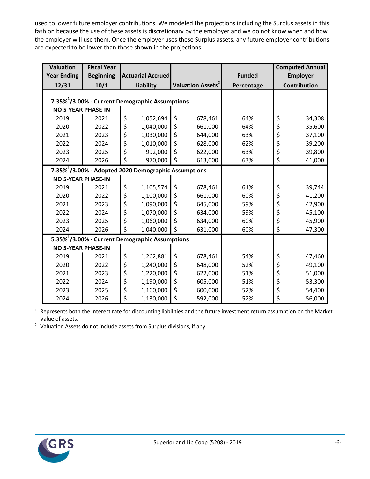used to lower future employer contributions. We modeled the projections including the Surplus assets in this fashion because the use of these assets is discretionary by the employer and we do not know when and how the employer will use them. Once the employer uses these Surplus assets, any future employer contributions are expected to be lower than those shown in the projections.

| <b>Valuation</b>                                            | <b>Fiscal Year</b> |    |                                                                  |    |                                     |               | <b>Computed Annual</b> |
|-------------------------------------------------------------|--------------------|----|------------------------------------------------------------------|----|-------------------------------------|---------------|------------------------|
| <b>Year Ending</b>                                          | <b>Beginning</b>   |    | <b>Actuarial Accrued</b>                                         |    |                                     | <b>Funded</b> | <b>Employer</b>        |
| 12/31                                                       | 10/1               |    | Liability                                                        |    | <b>Valuation Assets<sup>2</sup></b> | Percentage    | Contribution           |
| 7.35% <sup>1</sup> /3.00% - Current Demographic Assumptions |                    |    |                                                                  |    |                                     |               |                        |
|                                                             |                    |    |                                                                  |    |                                     |               |                        |
| <b>NO 5-YEAR PHASE-IN</b>                                   |                    |    |                                                                  |    |                                     |               |                        |
| 2019                                                        | 2021               | \$ | 1,052,694                                                        | \$ | 678,461                             | 64%           | \$<br>34,308           |
| 2020                                                        | 2022               | \$ | 1,040,000                                                        | \$ | 661,000                             | 64%           | \$<br>35,600           |
| 2021                                                        | 2023               | \$ | 1,030,000                                                        | \$ | 644,000                             | 63%           | \$<br>37,100           |
| 2022                                                        | 2024               | \$ | 1,010,000                                                        | \$ | 628,000                             | 62%           | \$<br>39,200           |
| 2023                                                        | 2025               | \$ | 992,000                                                          | \$ | 622,000                             | 63%           | \$<br>39,800           |
| 2024                                                        | 2026               | \$ | 970,000                                                          | \$ | 613,000                             | 63%           | \$<br>41,000           |
|                                                             |                    |    | 7.35% <sup>1</sup> /3.00% - Adopted 2020 Demographic Assumptions |    |                                     |               |                        |
| <b>NO 5-YEAR PHASE-IN</b>                                   |                    |    |                                                                  |    |                                     |               |                        |
| 2019                                                        | 2021               | \$ | 1,105,574                                                        | \$ | 678,461                             | 61%           | \$<br>39,744           |
| 2020                                                        | 2022               | \$ | 1,100,000                                                        | \$ | 661,000                             | 60%           | \$<br>41,200           |
| 2021                                                        | 2023               | \$ | 1,090,000                                                        | \$ | 645,000                             | 59%           | \$<br>42,900           |
| 2022                                                        | 2024               | \$ | 1,070,000                                                        | \$ | 634,000                             | 59%           | \$<br>45,100           |
| 2023                                                        | 2025               | \$ | 1,060,000                                                        | \$ | 634,000                             | 60%           | \$<br>45,900           |
| 2024                                                        | 2026               | \$ | 1,040,000                                                        | \$ | 631,000                             | 60%           | \$<br>47,300           |
|                                                             |                    |    | 5.35% <sup>1</sup> /3.00% - Current Demographic Assumptions      |    |                                     |               |                        |
| <b>NO 5-YEAR PHASE-IN</b>                                   |                    |    |                                                                  |    |                                     |               |                        |
| 2019                                                        | 2021               | \$ | 1,262,881                                                        | \$ | 678,461                             | 54%           | \$<br>47,460           |
| 2020                                                        | 2022               | \$ | 1,240,000                                                        | \$ | 648,000                             | 52%           | \$<br>49,100           |
| 2021                                                        | 2023               | \$ | 1,220,000                                                        | \$ | 622,000                             | 51%           | \$<br>51,000           |
| 2022                                                        | 2024               | \$ | 1,190,000                                                        | \$ | 605,000                             | 51%           | \$<br>53,300           |
| 2023                                                        | 2025               | \$ | 1,160,000                                                        | \$ | 600,000                             | 52%           | \$<br>54,400           |
| 2024                                                        | 2026               | \$ | 1,130,000                                                        | \$ | 592,000                             | 52%           | \$<br>56,000           |

<sup>1</sup> Represents both the interest rate for discounting liabilities and the future investment return assumption on the Market Value of assets.

<sup>2</sup> Valuation Assets do not include assets from Surplus divisions, if any.

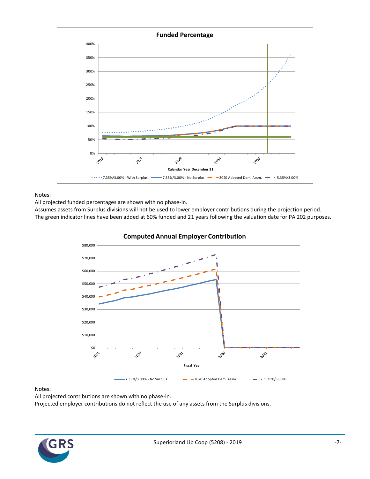

Notes:

All projected funded percentages are shown with no phase-in.

Assumes assets from Surplus divisions will not be used to lower employer contributions during the projection period. The green indicator lines have been added at 60% funded and 21 years following the valuation date for PA 202 purposes.



Notes:

All projected contributions are shown with no phase-in.

Projected employer contributions do not reflect the use of any assets from the Surplus divisions.

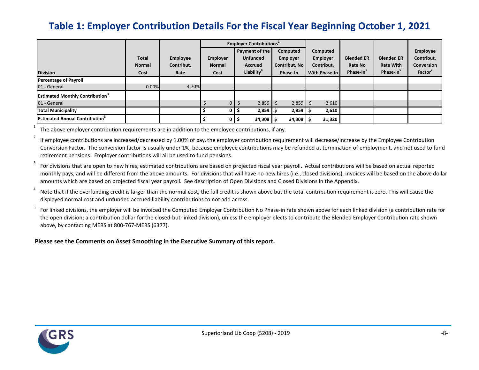## **Table 1: Employer Contribution Details For the Fiscal Year Beginning October 1, 2021**

|                                                                    |                                       |                                |                                          | <b>Employer Contributions</b>                                                 |                                                   |                                                            |                                                              |                                                                |                                                                    |
|--------------------------------------------------------------------|---------------------------------------|--------------------------------|------------------------------------------|-------------------------------------------------------------------------------|---------------------------------------------------|------------------------------------------------------------|--------------------------------------------------------------|----------------------------------------------------------------|--------------------------------------------------------------------|
| <b>Division</b>                                                    | <b>Total</b><br><b>Normal</b><br>Cost | Employee<br>Contribut.<br>Rate | <b>Employer</b><br><b>Normal</b><br>Cost | Payment of the<br><b>Unfunded</b><br><b>Accrued</b><br>Liability <sup>4</sup> | Computed<br>Employer<br>Contribut. No<br>Phase-In | Computed<br>Employer<br>Contribut.<br><b>With Phase-In</b> | <b>Blended ER</b><br><b>Rate No</b><br>Phase-In <sup>3</sup> | <b>Blended ER</b><br><b>Rate With</b><br>Phase-In <sup>3</sup> | Employee<br>Contribut.<br><b>Conversion</b><br>Factor <sup>2</sup> |
| <b>Percentage of Payroll</b><br>01 - General                       | 0.00%                                 | 4.70%                          |                                          |                                                                               |                                                   |                                                            |                                                              |                                                                |                                                                    |
| <b>Estimated Monthly Contribution</b> <sup>3</sup><br>01 - General |                                       |                                | $\Omega$                                 | 2,859                                                                         | 2,859<br>$\mathcal{L}$                            | 2,610                                                      |                                                              |                                                                |                                                                    |
| <b>Total Municipality</b>                                          |                                       |                                |                                          | 2,859                                                                         | 2,859                                             | 2,610                                                      |                                                              |                                                                |                                                                    |
| <b>Estimated Annual Contribution</b> <sup>3</sup>                  |                                       |                                | 0                                        | 34,308                                                                        | $34,308$   \$                                     | 31,320                                                     |                                                              |                                                                |                                                                    |

<span id="page-12-0"></span>1 The above employer contribution requirements are in addition to the employee contributions, if any.

2 If employee contributions are increased/decreased by 1.00% of pay, the employer contribution requirement will decrease/increase by the Employee Contribution Conversion Factor. The conversion factor is usually under 1%, because employee contributions may be refunded at termination of employment, and not used to fund retirement pensions. Employer contributions will all be used to fund pensions.

3 For divisions that are open to new hires, estimated contributions are based on projected fiscal year payroll. Actual contributions will be based on actual reported monthly pays, and will be different from the above amounts. For divisions that will have no new hires (i.e., closed divisions), invoices will be based on the above dollar amounts which are based on projected fiscal year payroll. See description of Open Divisions and Closed Divisions in the Appendix.

4 Note that if the overfunding credit is larger than the normal cost, the full credit is shown above but the total contribution requirement is zero. This will cause the displayed normal cost and unfunded accrued liability contributions to not add across.

5 For linked divisions, the employer will be invoiced the Computed Employer Contribution No Phase-in rate shown above for each linked division (a contribution rate for the open division; a contribution dollar for the closed-but-linked division), unless the employer elects to contribute the Blended Employer Contribution rate shown above, by contacting MERS at 800-767-MERS (6377).

**Please see the Comments on Asset Smoothing in the Executive Summary of this report.**

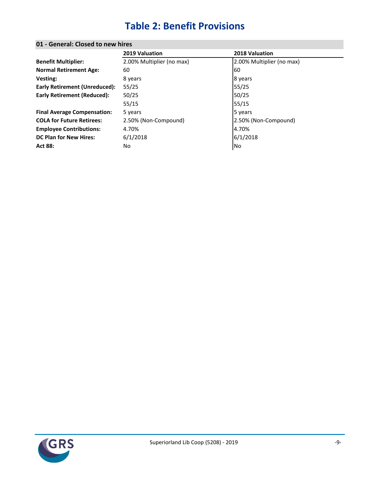## **Table 2: Benefit Provisions**

| 2019 Valuation            | 2018 Valuation            |
|---------------------------|---------------------------|
| 2.00% Multiplier (no max) | 2.00% Multiplier (no max) |
| 60                        | 60                        |
| 8 years                   | 8 years                   |
| 55/25                     | 55/25                     |
| 50/25                     | 50/25                     |
| 55/15                     | 55/15                     |
| 5 years                   | 5 years                   |
| 2.50% (Non-Compound)      | 2.50% (Non-Compound)      |
| 4.70%                     | 4.70%                     |
| 6/1/2018                  | 6/1/2018                  |
| No                        | No                        |
|                           |                           |

### <span id="page-13-0"></span>**01 - General: Closed to new hires**

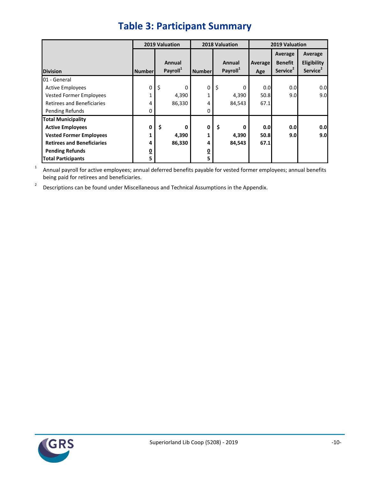<span id="page-14-0"></span>

|                                   |                         | 2019 Valuation                 |               | 2018 Valuation                 | 2019 Valuation        |                                                   |                                                |  |
|-----------------------------------|-------------------------|--------------------------------|---------------|--------------------------------|-----------------------|---------------------------------------------------|------------------------------------------------|--|
| <b>Division</b>                   | <b>Number</b>           | Annual<br>Payroll <sup>1</sup> | <b>Number</b> | Annual<br>Payroll <sup>1</sup> | <b>Average</b><br>Age | Average<br><b>Benefit</b><br>Service <sup>2</sup> | Average<br>Eligibility<br>Service <sup>2</sup> |  |
| 01 - General                      |                         |                                |               |                                |                       |                                                   |                                                |  |
| <b>Active Employees</b>           | 0                       | \$<br>0                        | 0             | \$<br>0                        | 0.0                   | 0.0                                               | 0.0                                            |  |
| <b>Vested Former Employees</b>    | 1                       | 4,390                          | 1             | 4,390                          | 50.8                  | 9.0                                               | 9.0                                            |  |
| <b>Retirees and Beneficiaries</b> | 4                       | 86,330                         | 4             | 84,543                         | 67.1                  |                                                   |                                                |  |
| Pending Refunds                   | 0                       |                                | 0             |                                |                       |                                                   |                                                |  |
| <b>Total Municipality</b>         |                         |                                |               |                                |                       |                                                   |                                                |  |
| <b>Active Employees</b>           | 0                       | \$<br>0                        | 0             | \$<br>0                        | 0.0                   | 0.0                                               | 0.0                                            |  |
| <b>Vested Former Employees</b>    | 1                       | 4,390                          | 1             | 4,390                          | 50.8                  | 9.0                                               | 9.0                                            |  |
| <b>Retirees and Beneficiaries</b> | 4                       | 86,330                         | 4             | 84,543                         | 67.1                  |                                                   |                                                |  |
| <b>Pending Refunds</b>            | $\overline{\mathbf{0}}$ |                                | <u>0</u>      |                                |                       |                                                   |                                                |  |
| <b>Total Participants</b>         | 5                       |                                | 5             |                                |                       |                                                   |                                                |  |

## **Table 3: Participant Summary**

1 Annual payroll for active employees; annual deferred benefits payable for vested former employees; annual benefits being paid for retirees and beneficiaries.

2 Descriptions can be found under Miscellaneous and Technical Assumptions in the Appendix.

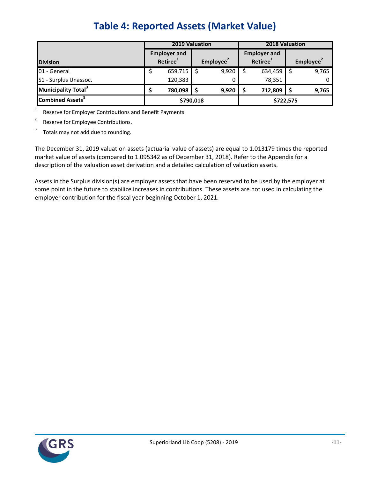<span id="page-15-0"></span>

|                                 |                                             | <b>2019 Valuation</b> |  |                       | <b>2018 Valuation</b> |                                             |  |                       |  |
|---------------------------------|---------------------------------------------|-----------------------|--|-----------------------|-----------------------|---------------------------------------------|--|-----------------------|--|
| <b>Division</b>                 | <b>Employer and</b><br>Retiree <sup>1</sup> |                       |  | Employee <sup>2</sup> |                       | <b>Employer and</b><br>Retiree <sup>1</sup> |  | Employee <sup>2</sup> |  |
| 01 - General                    |                                             | 659,715               |  | 9,920                 |                       | 634,459                                     |  | 9,765                 |  |
| S1 - Surplus Unassoc.           |                                             | 120,383               |  |                       |                       | 78,351                                      |  |                       |  |
| Municipality Total <sup>3</sup> |                                             | 780,098<br>9,920      |  |                       |                       | 712,809                                     |  | 9,765                 |  |
| Combined Assets <sup>3</sup>    | \$790,018                                   |                       |  |                       |                       | \$722,575                                   |  |                       |  |

1 Reserve for Employer Contributions and Benefit Payments.

2 Reserve for Employee Contributions.

3 Totals may not add due to rounding.

The December 31, 2019 valuation assets (actuarial value of assets) are equal to 1.013179 times the reported market value of assets (compared to 1.095342 as of December 31, 2018). Refer to the Appendix for a description of the valuation asset derivation and a detailed calculation of valuation assets.

Assets in the Surplus division(s) are employer assets that have been reserved to be used by the employer at some point in the future to stabilize increases in contributions. These assets are not used in calculating the employer contribution for the fiscal year beginning October 1, 2021.

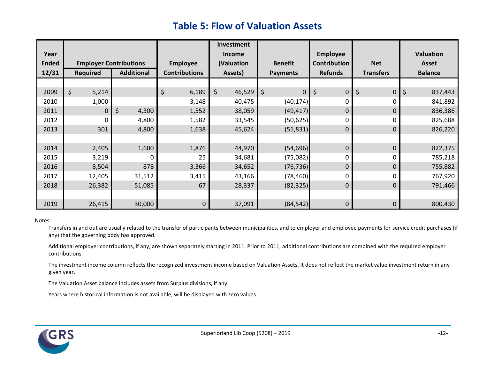## **Table 5: Flow of Valuation Assets**

<span id="page-16-0"></span>

|              |                               |                   |                      | Investment    |                   |                     |                   |                  |
|--------------|-------------------------------|-------------------|----------------------|---------------|-------------------|---------------------|-------------------|------------------|
| Year         |                               |                   |                      | <b>Income</b> |                   | <b>Employee</b>     |                   | <b>Valuation</b> |
| <b>Ended</b> | <b>Employer Contributions</b> |                   | <b>Employee</b>      | (Valuation    | <b>Benefit</b>    | <b>Contribution</b> | <b>Net</b>        | <b>Asset</b>     |
| 12/31        | <b>Required</b>               | <b>Additional</b> | <b>Contributions</b> | Assets)       | <b>Payments</b>   | <b>Refunds</b>      | <b>Transfers</b>  | <b>Balance</b>   |
|              |                               |                   |                      |               |                   |                     |                   |                  |
| 2009         | \$<br>5,214                   |                   | \$<br>6,189          | \$<br>46,529  | \$<br>$\mathbf 0$ | $\pmb{0}$<br>\$     | \$<br>$\mathbf 0$ | \$<br>837,443    |
| 2010         | 1,000                         |                   | 3,148                | 40,475        | (40, 174)         | 0                   | 0                 | 841,892          |
| 2011         | $\mathbf 0$                   | \$<br>4,300       | 1,552                | 38,059        | (49, 417)         | 0                   | 0                 | 836,386          |
| 2012         | $\Omega$                      | 4,800             | 1,582                | 33,545        | (50, 625)         | 0                   | 0                 | 825,688          |
| 2013         | 301                           | 4,800             | 1,638                | 45,624        | (51, 831)         | 0                   | 0                 | 826,220          |
|              |                               |                   |                      |               |                   |                     |                   |                  |
| 2014         | 2,405                         | 1,600             | 1,876                | 44,970        | (54, 696)         | 0                   | 0                 | 822,375          |
| 2015         | 3,219                         | O                 | 25                   | 34,681        | (75,082)          | 0                   | 0                 | 785,218          |
| 2016         | 8,504                         | 878               | 3,366                | 34,652        | (76, 736)         | 0                   | $\Omega$          | 755,882          |
| 2017         | 12,405                        | 31,512            | 3,415                | 43,166        | (78, 460)         | 0                   | 0                 | 767,920          |
| 2018         | 26,382                        | 51,085            | 67                   | 28,337        | (82, 325)         | 0                   | $\mathbf 0$       | 791,466          |
|              |                               |                   |                      |               |                   |                     |                   |                  |
| 2019         | 26,415                        | 30,000            | 0                    | 37,091        | (84, 542)         | 0                   | 0                 | 800,430          |

#### Notes:

Transfers in and out are usually related to the transfer of participants between municipalities, and to employer and employee payments for service credit purchases (if any) that the governing body has approved.

Additional employer contributions, if any, are shown separately starting in 2011. Prior to 2011, additional contributions are combined with the required employer contributions.

The investment income column reflects the recognized investment income based on Valuation Assets. It does not reflect the market value investment return in any given year.

The Valuation Asset balance includes assets from Surplus divisions, if any.

Years where historical information is not available, will be displayed with zero values.

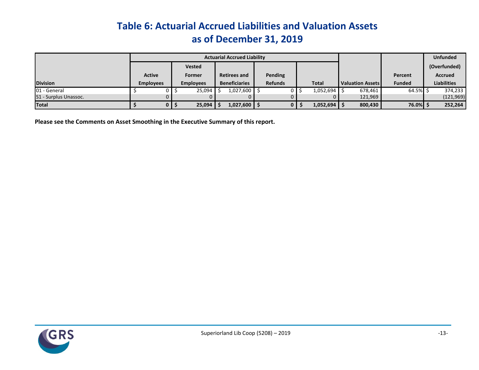## **Table 6: Actuarial Accrued Liabilities and Valuation Assets as of December 31, 2019**

|                       |                  |                  | <b>Actuarial Accrued Liability</b> |                |                |                         |               | <b>Unfunded</b>    |
|-----------------------|------------------|------------------|------------------------------------|----------------|----------------|-------------------------|---------------|--------------------|
|                       |                  | <b>Vested</b>    |                                    |                |                |                         |               | (Overfunded)       |
|                       | <b>Active</b>    | Former           | <b>Retirees and</b>                | <b>Pending</b> |                |                         | Percent       | <b>Accrued</b>     |
| <b>Division</b>       | <b>Employees</b> | <b>Employees</b> | <b>Beneficiaries</b>               | <b>Refunds</b> | <b>Total</b>   | <b>Valuation Assets</b> | <b>Funded</b> | <b>Liabilities</b> |
| 01 - General          |                  | 25,094           | $1,027,600$ \$                     |                | $1,052,694$ \$ | 678,461                 | 64.5%         | 374,233            |
| S1 - Surplus Unassoc. |                  |                  |                                    |                |                | 121,969                 |               | (121,969)          |
| <b>Total</b>          |                  | 25,094           | $1,027,600$ \$                     | 0              | 1,052,694      | 800,430                 | 76.0%         | 252,264            |

<span id="page-17-0"></span>**Please see the Comments on Asset Smoothing in the Executive Summary of this report.**

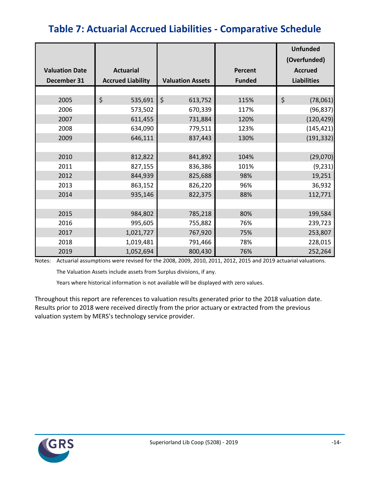## <span id="page-18-0"></span>**Table 7: Actuarial Accrued Liabilities - Comparative Schedule**

|                       |                          |                         |                | <b>Unfunded</b><br>(Overfunded) |
|-----------------------|--------------------------|-------------------------|----------------|---------------------------------|
| <b>Valuation Date</b> | <b>Actuarial</b>         |                         | <b>Percent</b> | <b>Accrued</b>                  |
| December 31           | <b>Accrued Liability</b> | <b>Valuation Assets</b> | <b>Funded</b>  | <b>Liabilities</b>              |
|                       |                          |                         |                |                                 |
| 2005                  | \$<br>535,691            | $\zeta$<br>613,752      | 115%           | \$<br>(78,061)                  |
| 2006                  | 573,502                  | 670,339                 | 117%           | (96, 837)                       |
| 2007                  | 611,455                  | 731,884                 | 120%           | (120, 429)                      |
| 2008                  | 634,090                  | 779,511                 | 123%           | (145, 421)                      |
| 2009                  | 646,111                  | 837,443                 | 130%           | (191, 332)                      |
|                       |                          |                         |                |                                 |
| 2010                  | 812,822                  | 841,892                 | 104%           | (29,070)                        |
| 2011                  | 827,155                  | 836,386                 | 101%           | (9, 231)                        |
| 2012                  | 844,939                  | 825,688                 | 98%            | 19,251                          |
| 2013                  | 863,152                  | 826,220                 | 96%            | 36,932                          |
| 2014                  | 935,146                  | 822,375                 | 88%            | 112,771                         |
|                       |                          |                         |                |                                 |
| 2015                  | 984,802                  | 785,218                 | 80%            | 199,584                         |
| 2016                  | 995,605                  | 755,882                 | 76%            | 239,723                         |
| 2017                  | 1,021,727                | 767,920                 | 75%            | 253,807                         |
| 2018                  | 1,019,481                | 791,466                 | 78%            | 228,015                         |
| 2019                  | 1,052,694                | 800,430                 | 76%            | 252,264                         |

Notes: Actuarial assumptions were revised for the 2008, 2009, 2010, 2011, 2012, 2015 and 2019 actuarial valuations.

The Valuation Assets include assets from Surplus divisions, if any.

Years where historical information is not available will be displayed with zero values.

Throughout this report are references to valuation results generated prior to the 2018 valuation date. Results prior to 2018 were received directly from the prior actuary or extracted from the previous valuation system by MERS's technology service provider.

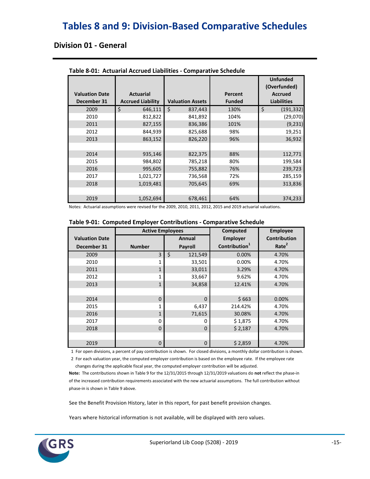## <span id="page-19-0"></span>**Tables 8 and 9: Division-Based Comparative Schedules**

### **Division 01 - General**

| <b>Valuation Date</b> | <b>Actuarial</b>         |                         | Percent       | <b>Unfunded</b><br>(Overfunded)<br><b>Accrued</b> |
|-----------------------|--------------------------|-------------------------|---------------|---------------------------------------------------|
| December 31           | <b>Accrued Liability</b> | <b>Valuation Assets</b> | <b>Funded</b> | <b>Liabilities</b>                                |
| 2009                  | \$<br>646,111            | \$<br>837,443           | 130%          | \$<br>(191, 332)                                  |
| 2010                  | 812,822                  | 841,892                 | 104%          | (29,070)                                          |
| 2011                  | 827,155                  | 836,386                 | 101%          | (9, 231)                                          |
| 2012                  | 844,939                  | 825,688                 | 98%           | 19,251                                            |
| 2013                  | 863,152                  | 826,220                 | 96%           | 36,932                                            |
|                       |                          |                         |               |                                                   |
| 2014                  | 935,146                  | 822,375                 | 88%           | 112,771                                           |
| 2015                  | 984,802                  | 785,218                 | 80%           | 199,584                                           |
| 2016                  | 995,605                  | 755,882                 | 76%           | 239,723                                           |
| 2017                  | 1,021,727                | 736,568                 | 72%           | 285,159                                           |
| 2018                  | 1,019,481                | 705,645                 | 69%           | 313,836                                           |
|                       |                          |                         |               |                                                   |
| 2019                  | 1,052,694                | 678,461                 | 64%           | 374,233                                           |

#### **Table 8-01: Actuarial Accrued Liabilities - Comparative Schedule**

Notes: Actuarial assumptions were revised for the 2009, 2010, 2011, 2012, 2015 and 2019 actuarial valuations.

|                       | <b>Active Employees</b> |                | Computed                  | <b>Employee</b>     |
|-----------------------|-------------------------|----------------|---------------------------|---------------------|
| <b>Valuation Date</b> |                         | Annual         | <b>Employer</b>           | <b>Contribution</b> |
| December 31           | <b>Number</b>           | <b>Payroll</b> | Contribution <sup>1</sup> | Rate <sup>2</sup>   |
| 2009                  | 3                       | \$<br>121,549  | 0.00%                     | 4.70%               |
| 2010                  | 1                       | 33,501         | 0.00%                     | 4.70%               |
| 2011                  | $\mathbf{1}$            | 33,011         | 3.29%                     | 4.70%               |
| 2012                  | $\mathbf{1}$            | 33,667         | 9.62%                     | 4.70%               |
| 2013                  | $\mathbf{1}$            | 34,858         | 12.41%                    | 4.70%               |
|                       |                         |                |                           |                     |
| 2014                  | $\Omega$                | $\Omega$       | \$663                     | 0.00%               |
| 2015                  | $\mathbf{1}$            | 6,437          | 214.42%                   | 4.70%               |
| 2016                  | $\mathbf{1}$            | 71,615         | 30.08%                    | 4.70%               |
| 2017                  | 0                       | 0              | \$1,875                   | 4.70%               |
| 2018                  | $\Omega$                | 0              | \$2,187                   | 4.70%               |
|                       |                         |                |                           |                     |
| 2019                  | 0                       | 0              | \$2,859                   | 4.70%               |

#### **Table 9-01: Computed Employer Contributions - Comparative Schedule**

1 For open divisions, a percent of pay contribution is shown. For closed divisions, a monthly dollar contribution is shown.

 2 For each valuation year, the computed employer contribution is based on the employee rate. If the employee rate changes during the applicable fiscal year, the computed employer contribution will be adjusted.

**Note:** The contributions shown in Table 9 for the 12/31/2015 through 12/31/2019 valuations do **not** reflect the phase-in of the increased contribution requirements associated with the new actuarial assumptions. The full contribution without phase-in is shown in Table 9 above.

See the Benefit Provision History, later in this report, for past benefit provision changes.

Years where historical information is not available, will be displayed with zero values.

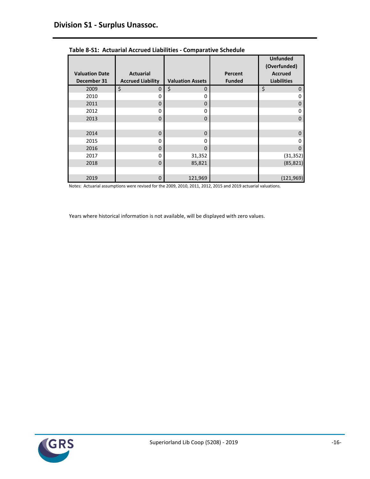|                                      |                                              |                         |                          | <b>Unfunded</b><br>(Overfunded)      |
|--------------------------------------|----------------------------------------------|-------------------------|--------------------------|--------------------------------------|
| <b>Valuation Date</b><br>December 31 | <b>Actuarial</b><br><b>Accrued Liability</b> | <b>Valuation Assets</b> | Percent<br><b>Funded</b> | <b>Accrued</b><br><b>Liabilities</b> |
| 2009                                 | \$<br>0                                      | \$<br>$\mathbf 0$       |                          | \$<br>$\mathbf 0$                    |
| 2010                                 | 0                                            | $\Omega$                |                          | 0                                    |
| 2011                                 | 0                                            | $\Omega$                |                          | $\mathbf 0$                          |
| 2012                                 | 0                                            | 0                       |                          | 0                                    |
| 2013                                 | $\Omega$                                     | $\Omega$                |                          | $\Omega$                             |
|                                      |                                              |                         |                          |                                      |
| 2014                                 | 0                                            | $\mathbf 0$             |                          | $\mathbf 0$                          |
| 2015                                 | 0                                            | $\Omega$                |                          | 0                                    |
| 2016                                 | $\Omega$                                     | $\Omega$                |                          | $\Omega$                             |
| 2017                                 | 0                                            | 31,352                  |                          | (31, 352)                            |
| 2018                                 | $\mathbf 0$                                  | 85,821                  |                          | (85, 821)                            |
|                                      |                                              |                         |                          |                                      |
| 2019                                 | 0                                            | 121,969                 |                          | (121, 969)                           |

| Table 8-S1: Actuarial Accrued Liabilities - Comparative Schedule |
|------------------------------------------------------------------|
|------------------------------------------------------------------|

Notes: Actuarial assumptions were revised for the 2009, 2010, 2011, 2012, 2015 and 2019 actuarial valuations.

Years where historical information is not available, will be displayed with zero values.

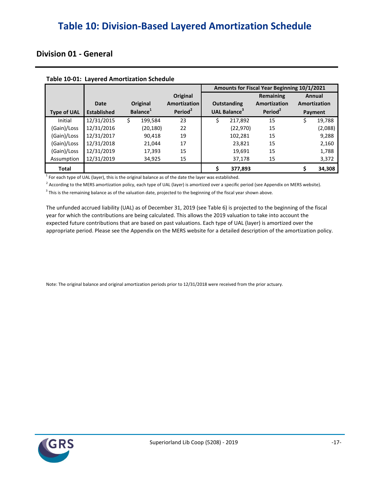## <span id="page-21-0"></span>**Table 10: Division-Based Layered Amortization Schedule**

### **Division 01 - General**

|                    |                    |                      |                     |                                 | Amounts for Fiscal Year Beginning 10/1/2021 |              |
|--------------------|--------------------|----------------------|---------------------|---------------------------------|---------------------------------------------|--------------|
|                    |                    |                      | Original            |                                 | Remaining                                   | Annual       |
|                    | Date               | Original             | <b>Amortization</b> | <b>Outstanding</b>              | Amortization                                | Amortization |
| <b>Type of UAL</b> | <b>Established</b> | Balance <sup>1</sup> | Period <sup>2</sup> | <b>UAL Balance</b> <sup>3</sup> | Period <sup>2</sup>                         | Payment      |
| Initial            | 12/31/2015         | \$<br>199.584        | 23                  | \$<br>217,892                   | 15                                          | \$<br>19,788 |
| (Gain)/Loss        | 12/31/2016         | (20, 180)            | 22                  | (22, 970)                       | 15                                          | (2,088)      |
| (Gain)/Loss        | 12/31/2017         | 90,418               | 19                  | 102,281                         | 15                                          | 9,288        |
| (Gain)/Loss        | 12/31/2018         | 21,044               | 17                  | 23,821                          | 15                                          | 2,160        |
| (Gain)/Loss        | 12/31/2019         | 17,393               | 15                  | 19,691                          | 15                                          | 1,788        |
| Assumption         | 12/31/2019         | 34,925               | 15                  | 37,178                          | 15                                          | 3,372        |
| Total              |                    |                      |                     | \$<br>377,893                   |                                             | 34,308       |

#### **Table 10-01: Layered Amortization Schedule**

 $1$  For each type of UAL (layer), this is the original balance as of the date the layer was established.

<sup>2</sup> According to the MERS amortization policy, each type of UAL (layer) is amortized over a specific period (see Appendix on MERS website).

 $^3$  This is the remaining balance as of the valuation date, projected to the beginning of the fiscal year shown above.

The unfunded accrued liability (UAL) as of December 31, 2019 (see Table 6) is projected to the beginning of the fiscal appropriate period. Please see the Appendix on the MERS website for a detailed description of the amortization policy. year for which the contributions are being calculated. This allows the 2019 valuation to take into account the expected future contributions that are based on past valuations. Each type of UAL (layer) is amortized over the

Note: The original balance and original amortization periods prior to 12/31/2018 were received from the prior actuary.

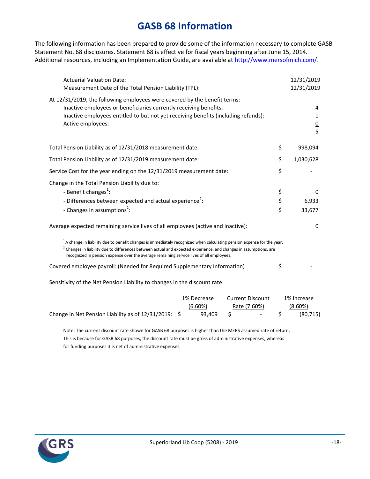## **GASB 68 Information**

<span id="page-22-0"></span>The following information has been prepared to provide some of the information necessary to complete GASB Statement No. 68 disclosures. Statement 68 is effective for fiscal years beginning after June 15, 2014. Additional resources, including an Implementation Guide, are available at [http://www.mersofmich.com/.](http://www.mersofmich.com/)

| <b>Actuarial Valuation Date:</b><br>Measurement Date of the Total Pension Liability (TPL):                                                                                                                                                                                                                                                                                                                                          |                | 12/31/2019<br>12/31/2019            |
|-------------------------------------------------------------------------------------------------------------------------------------------------------------------------------------------------------------------------------------------------------------------------------------------------------------------------------------------------------------------------------------------------------------------------------------|----------------|-------------------------------------|
| At 12/31/2019, the following employees were covered by the benefit terms:<br>Inactive employees or beneficiaries currently receiving benefits:<br>Inactive employees entitled to but not yet receiving benefits (including refunds):<br>Active employees:                                                                                                                                                                           |                | 4<br>1<br>$\overline{0}$<br>5       |
| Total Pension Liability as of 12/31/2018 measurement date:                                                                                                                                                                                                                                                                                                                                                                          | \$             | 998,094                             |
| Total Pension Liability as of 12/31/2019 measurement date:                                                                                                                                                                                                                                                                                                                                                                          | \$             | 1,030,628                           |
| Service Cost for the year ending on the 12/31/2019 measurement date:                                                                                                                                                                                                                                                                                                                                                                | \$             |                                     |
| Change in the Total Pension Liability due to:<br>- Benefit changes <sup>1</sup> :<br>- Differences between expected and actual experience <sup>2</sup> :<br>- Changes in assumptions <sup>2</sup> :                                                                                                                                                                                                                                 | \$<br>\$<br>\$ | 0<br>6,933<br>33,677                |
| Average expected remaining service lives of all employees (active and inactive):                                                                                                                                                                                                                                                                                                                                                    |                | $\Omega$                            |
| $^1$ A change in liability due to benefit changes is immediately recognized when calculating pension expense for the year.<br><sup>2</sup> Changes in liability due to differences between actual and expected experience, and changes in assumptions, are<br>recognized in pension expense over the average remaining service lives of all employees.<br>Covered employee payroll: (Needed for Required Supplementary Information) | \$             |                                     |
| Sensitivity of the Net Pension Liability to changes in the discount rate:                                                                                                                                                                                                                                                                                                                                                           |                |                                     |
| <b>Current Discount</b><br>1% Decrease<br>(6.60%)<br>Rate (7.60%)<br>\$<br>Change in Net Pension Liability as of 12/31/2019: \$<br>93,409                                                                                                                                                                                                                                                                                           | \$             | 1% Increase<br>(8.60%)<br>(80, 715) |

Note: The current discount rate shown for GASB 68 purposes is higher than the MERS assumed rate of return. This is because for GASB 68 purposes, the discount rate must be gross of administrative expenses, whereas for funding purposes it is net of administrative expenses.

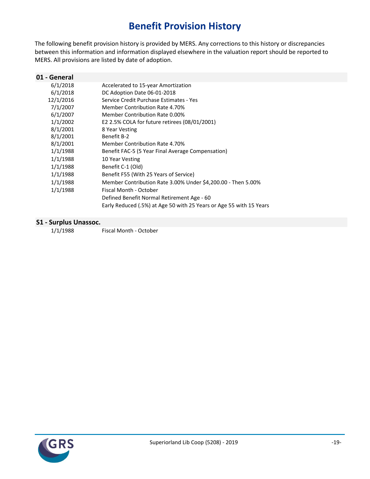## **Benefit Provision History**

<span id="page-23-0"></span>The following benefit provision history is provided by MERS. Any corrections to this history or discrepancies between this information and information displayed elsewhere in the valuation report should be reported to MERS. All provisions are listed by date of adoption.

| 01 - General |                                                                     |
|--------------|---------------------------------------------------------------------|
| 6/1/2018     | Accelerated to 15-year Amortization                                 |
| 6/1/2018     | DC Adoption Date 06-01-2018                                         |
| 12/1/2016    | Service Credit Purchase Estimates - Yes                             |
| 7/1/2007     | Member Contribution Rate 4.70%                                      |
| 6/1/2007     | Member Contribution Rate 0.00%                                      |
| 1/1/2002     | E2 2.5% COLA for future retirees (08/01/2001)                       |
| 8/1/2001     | 8 Year Vesting                                                      |
| 8/1/2001     | Benefit B-2                                                         |
| 8/1/2001     | Member Contribution Rate 4.70%                                      |
| 1/1/1988     | Benefit FAC-5 (5 Year Final Average Compensation)                   |
| 1/1/1988     | 10 Year Vesting                                                     |
| 1/1/1988     | Benefit C-1 (Old)                                                   |
| 1/1/1988     | Benefit F55 (With 25 Years of Service)                              |
| 1/1/1988     | Member Contribution Rate 3.00% Under \$4,200.00 - Then 5.00%        |
| 1/1/1988     | Fiscal Month - October                                              |
|              | Defined Benefit Normal Retirement Age - 60                          |
|              | Early Reduced (.5%) at Age 50 with 25 Years or Age 55 with 15 Years |
|              |                                                                     |

#### **S1 - Surplus Unassoc.**

1/1/1988 Fiscal Month - October

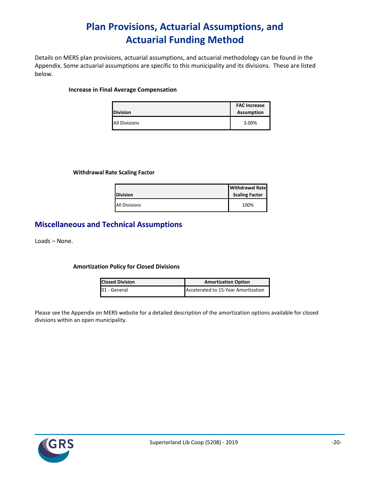## **Plan Provisions, Actuarial Assumptions, and Actuarial Funding Method**

<span id="page-24-0"></span>Details on MERS plan provisions, actuarial assumptions, and actuarial methodology can be found in the Appendix. Some actuarial assumptions are specific to this municipality and its divisions. These are listed below.

#### **Increase in Final Average Compensation**

| <b>Division</b>      | <b>FAC Increase</b><br><b>Assumption</b> |
|----------------------|------------------------------------------|
| <b>All Divisions</b> | 3.00%                                    |

#### **Withdrawal Rate Scaling Factor**

| <b>Division</b>      | <b>Withdrawal Rate</b><br><b>Scaling Factor</b> |
|----------------------|-------------------------------------------------|
| <b>All Divisions</b> | 100%                                            |

### **Miscellaneous and Technical Assumptions**

Loads – None.

#### **Amortization Policy for Closed Divisions**

| <b>Closed Division</b> | <b>Amortization Option</b>          |
|------------------------|-------------------------------------|
| 01 - General           | Accelerated to 15-Year Amortization |

Please see the Appendix on MERS website for a detailed description of the amortization options available for closed divisions within an open municipality.

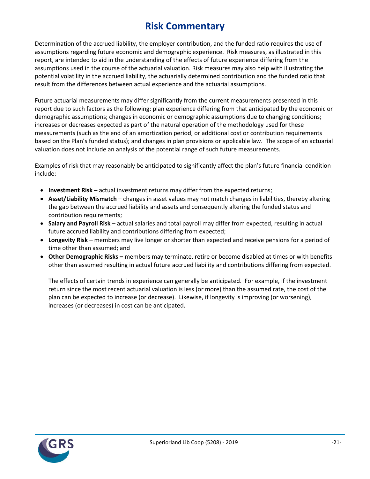## **Risk Commentary**

<span id="page-25-0"></span>Determination of the accrued liability, the employer contribution, and the funded ratio requires the use of assumptions regarding future economic and demographic experience. Risk measures, as illustrated in this report, are intended to aid in the understanding of the effects of future experience differing from the assumptions used in the course of the actuarial valuation. Risk measures may also help with illustrating the potential volatility in the accrued liability, the actuarially determined contribution and the funded ratio that result from the differences between actual experience and the actuarial assumptions.

Future actuarial measurements may differ significantly from the current measurements presented in this report due to such factors as the following: plan experience differing from that anticipated by the economic or demographic assumptions; changes in economic or demographic assumptions due to changing conditions; increases or decreases expected as part of the natural operation of the methodology used for these measurements (such as the end of an amortization period, or additional cost or contribution requirements based on the Plan's funded status); and changes in plan provisions or applicable law. The scope of an actuarial valuation does not include an analysis of the potential range of such future measurements.

Examples of risk that may reasonably be anticipated to significantly affect the plan's future financial condition include:

- **Investment Risk** actual investment returns may differ from the expected returns;
- **Asset/Liability Mismatch** changes in asset values may not match changes in liabilities, thereby altering the gap between the accrued liability and assets and consequently altering the funded status and contribution requirements;
- **Salary and Payroll Risk** actual salaries and total payroll may differ from expected, resulting in actual future accrued liability and contributions differing from expected;
- **Longevity Risk** members may live longer or shorter than expected and receive pensions for a period of time other than assumed; and
- **Other Demographic Risks –** members may terminate, retire or become disabled at times or with benefits other than assumed resulting in actual future accrued liability and contributions differing from expected.

The effects of certain trends in experience can generally be anticipated. For example, if the investment return since the most recent actuarial valuation is less (or more) than the assumed rate, the cost of the plan can be expected to increase (or decrease). Likewise, if longevity is improving (or worsening), increases (or decreases) in cost can be anticipated.

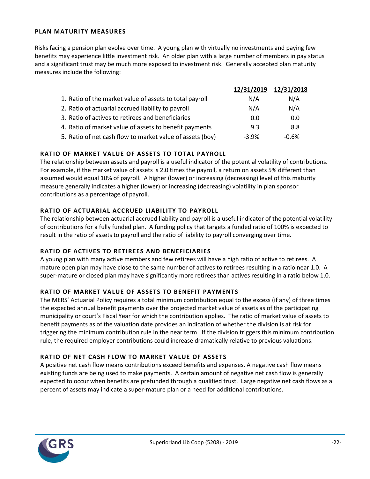#### **PLAN MATURITY MEASURES**

Risks facing a pension plan evolve over time. A young plan with virtually no investments and paying few benefits may experience little investment risk. An older plan with a large number of members in pay status and a significant trust may be much more exposed to investment risk. Generally accepted plan maturity measures include the following:

|                                                           | 12/31/2019 | 12/31/2018 |
|-----------------------------------------------------------|------------|------------|
| 1. Ratio of the market value of assets to total payroll   | N/A        | N/A        |
| 2. Ratio of actuarial accrued liability to payroll        | N/A        | N/A        |
| 3. Ratio of actives to retirees and beneficiaries         | 0.0        | 0.0        |
| 4. Ratio of market value of assets to benefit payments    | 9.3        | 8.8        |
| 5. Ratio of net cash flow to market value of assets (boy) | $-3.9%$    | $-0.6%$    |

#### **RATIO OF MARKET VALUE OF ASSETS TO TOTAL PAYROLL**

The relationship between assets and payroll is a useful indicator of the potential volatility of contributions. For example, if the market value of assets is 2.0 times the payroll, a return on assets 5% different than assumed would equal 10% of payroll. A higher (lower) or increasing (decreasing) level of this maturity measure generally indicates a higher (lower) or increasing (decreasing) volatility in plan sponsor contributions as a percentage of payroll.

#### **RATIO OF ACTUARIAL ACCRUED LIABILITY TO PAYROLL**

The relationship between actuarial accrued liability and payroll is a useful indicator of the potential volatility of contributions for a fully funded plan. A funding policy that targets a funded ratio of 100% is expected to result in the ratio of assets to payroll and the ratio of liability to payroll converging over time.

### **RATIO OF ACTIVES TO RETIREES AND BENEFICIARIES**

A young plan with many active members and few retirees will have a high ratio of active to retirees. A mature open plan may have close to the same number of actives to retirees resulting in a ratio near 1.0. A super-mature or closed plan may have significantly more retirees than actives resulting in a ratio below 1.0.

#### **RATIO OF MARKET VALUE OF ASSETS TO BENEFIT PAYMENTS**

The MERS' Actuarial Policy requires a total minimum contribution equal to the excess (if any) of three times the expected annual benefit payments over the projected market value of assets as of the participating municipality or court's Fiscal Year for which the contribution applies. The ratio of market value of assets to benefit payments as of the valuation date provides an indication of whether the division is at risk for triggering the minimum contribution rule in the near term. If the division triggers this minimum contribution rule, the required employer contributions could increase dramatically relative to previous valuations.

### **RATIO OF NET CASH FLOW TO MARKET VALUE OF ASSETS**

A positive net cash flow means contributions exceed benefits and expenses. A negative cash flow means existing funds are being used to make payments. A certain amount of negative net cash flow is generally expected to occur when benefits are prefunded through a qualified trust. Large negative net cash flows as a percent of assets may indicate a super-mature plan or a need for additional contributions.